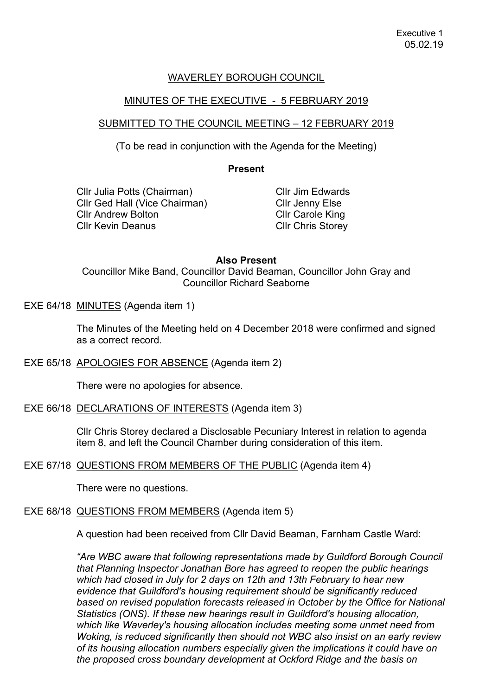# WAVERLEY BOROUGH COUNCIL

### MINUTES OF THE EXECUTIVE - 5 FEBRUARY 2019

#### SUBMITTED TO THE COUNCIL MEETING – 12 FEBRUARY 2019

(To be read in conjunction with the Agenda for the Meeting)

#### **Present**

Cllr Julia Potts (Chairman) Cllr Ged Hall (Vice Chairman) Cllr Andrew Bolton Cllr Kevin Deanus

Cllr Jim Edwards Cllr Jenny Else Cllr Carole King Cllr Chris Storey

#### **Also Present**

Councillor Mike Band, Councillor David Beaman, Councillor John Gray and Councillor Richard Seaborne

EXE 64/18 MINUTES (Agenda item 1)

The Minutes of the Meeting held on 4 December 2018 were confirmed and signed as a correct record.

EXE 65/18 APOLOGIES FOR ABSENCE (Agenda item 2)

There were no apologies for absence.

EXE 66/18 DECLARATIONS OF INTERESTS (Agenda item 3)

Cllr Chris Storey declared a Disclosable Pecuniary Interest in relation to agenda item 8, and left the Council Chamber during consideration of this item.

EXE 67/18 QUESTIONS FROM MEMBERS OF THE PUBLIC (Agenda item 4)

There were no questions.

# EXE 68/18 QUESTIONS FROM MEMBERS (Agenda item 5)

A question had been received from Cllr David Beaman, Farnham Castle Ward:

*"Are WBC aware that following representations made by Guildford Borough Council that Planning Inspector Jonathan Bore has agreed to reopen the public hearings which had closed in July for 2 days on 12th and 13th February to hear new evidence that Guildford's housing requirement should be significantly reduced based on revised population forecasts released in October by the Office for National Statistics (ONS). If these new hearings result in Guildford's housing allocation, which like Waverley's housing allocation includes meeting some unmet need from Woking, is reduced significantly then should not WBC also insist on an early review of its housing allocation numbers especially given the implications it could have on the proposed cross boundary development at Ockford Ridge and the basis on*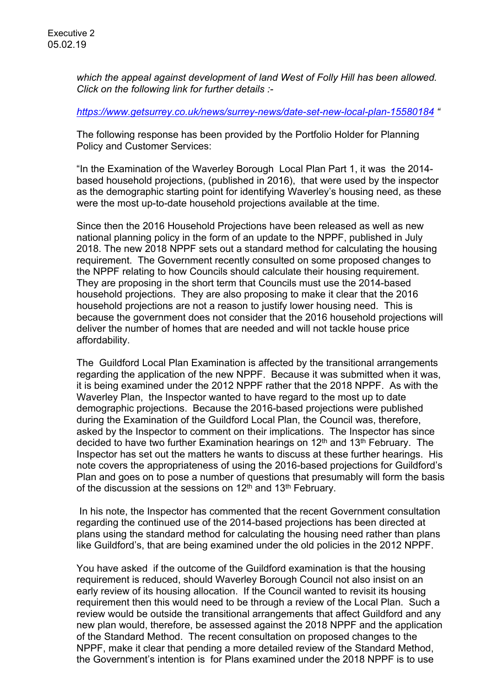*which the appeal against development of land West of Folly Hill has been allowed. Click on the following link for further details :-*

*<https://www.getsurrey.co.uk/news/surrey-news/date-set-new-local-plan-15580184> "*

The following response has been provided by the Portfolio Holder for Planning Policy and Customer Services:

"In the Examination of the Waverley Borough Local Plan Part 1, it was the 2014 based household projections, (published in 2016), that were used by the inspector as the demographic starting point for identifying Waverley's housing need, as these were the most up-to-date household projections available at the time.

Since then the 2016 Household Projections have been released as well as new national planning policy in the form of an update to the NPPF, published in July 2018. The new 2018 NPPF sets out a standard method for calculating the housing requirement. The Government recently consulted on some proposed changes to the NPPF relating to how Councils should calculate their housing requirement. They are proposing in the short term that Councils must use the 2014-based household projections. They are also proposing to make it clear that the 2016 household projections are not a reason to justify lower housing need. This is because the government does not consider that the 2016 household projections will deliver the number of homes that are needed and will not tackle house price affordability.

The Guildford Local Plan Examination is affected by the transitional arrangements regarding the application of the new NPPF. Because it was submitted when it was, it is being examined under the 2012 NPPF rather that the 2018 NPPF. As with the Waverley Plan, the Inspector wanted to have regard to the most up to date demographic projections. Because the 2016-based projections were published during the Examination of the Guildford Local Plan, the Council was, therefore, asked by the Inspector to comment on their implications. The Inspector has since decided to have two further Examination hearings on  $12<sup>th</sup>$  and  $13<sup>th</sup>$  February. The Inspector has set out the matters he wants to discuss at these further hearings. His note covers the appropriateness of using the 2016-based projections for Guildford's Plan and goes on to pose a number of questions that presumably will form the basis of the discussion at the sessions on  $12<sup>th</sup>$  and  $13<sup>th</sup>$  February.

In his note, the Inspector has commented that the recent Government consultation regarding the continued use of the 2014-based projections has been directed at plans using the standard method for calculating the housing need rather than plans like Guildford's, that are being examined under the old policies in the 2012 NPPF.

You have asked if the outcome of the Guildford examination is that the housing requirement is reduced, should Waverley Borough Council not also insist on an early review of its housing allocation. If the Council wanted to revisit its housing requirement then this would need to be through a review of the Local Plan. Such a review would be outside the transitional arrangements that affect Guildford and any new plan would, therefore, be assessed against the 2018 NPPF and the application of the Standard Method. The recent consultation on proposed changes to the NPPF, make it clear that pending a more detailed review of the Standard Method, the Government's intention is for Plans examined under the 2018 NPPF is to use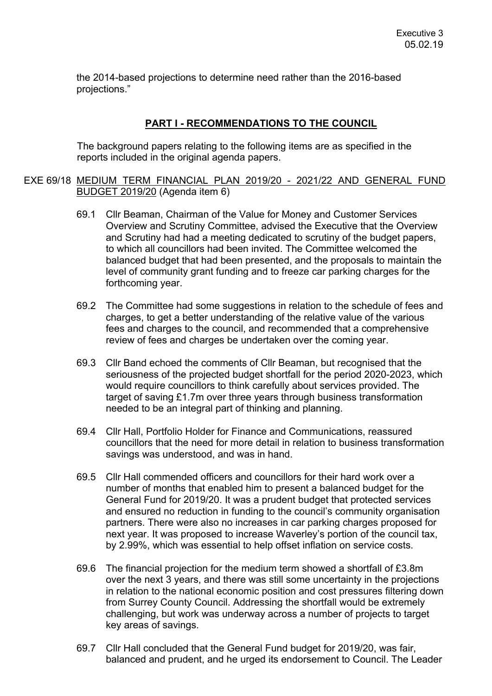the 2014-based projections to determine need rather than the 2016-based projections."

#### **PART I - RECOMMENDATIONS TO THE COUNCIL**

The background papers relating to the following items are as specified in the reports included in the original agenda papers.

### EXE 69/18 MEDIUM TERM FINANCIAL PLAN 2019/20 - 2021/22 AND GENERAL FUND BUDGET 2019/20 (Agenda item 6)

- 69.1 Cllr Beaman, Chairman of the Value for Money and Customer Services Overview and Scrutiny Committee, advised the Executive that the Overview and Scrutiny had had a meeting dedicated to scrutiny of the budget papers, to which all councillors had been invited. The Committee welcomed the balanced budget that had been presented, and the proposals to maintain the level of community grant funding and to freeze car parking charges for the forthcoming year.
- 69.2 The Committee had some suggestions in relation to the schedule of fees and charges, to get a better understanding of the relative value of the various fees and charges to the council, and recommended that a comprehensive review of fees and charges be undertaken over the coming year.
- 69.3 Cllr Band echoed the comments of Cllr Beaman, but recognised that the seriousness of the projected budget shortfall for the period 2020-2023, which would require councillors to think carefully about services provided. The target of saving £1.7m over three years through business transformation needed to be an integral part of thinking and planning.
- 69.4 Cllr Hall, Portfolio Holder for Finance and Communications, reassured councillors that the need for more detail in relation to business transformation savings was understood, and was in hand.
- 69.5 Cllr Hall commended officers and councillors for their hard work over a number of months that enabled him to present a balanced budget for the General Fund for 2019/20. It was a prudent budget that protected services and ensured no reduction in funding to the council's community organisation partners. There were also no increases in car parking charges proposed for next year. It was proposed to increase Waverley's portion of the council tax, by 2.99%, which was essential to help offset inflation on service costs.
- 69.6 The financial projection for the medium term showed a shortfall of £3.8m over the next 3 years, and there was still some uncertainty in the projections in relation to the national economic position and cost pressures filtering down from Surrey County Council. Addressing the shortfall would be extremely challenging, but work was underway across a number of projects to target key areas of savings.
- 69.7 Cllr Hall concluded that the General Fund budget for 2019/20, was fair, balanced and prudent, and he urged its endorsement to Council. The Leader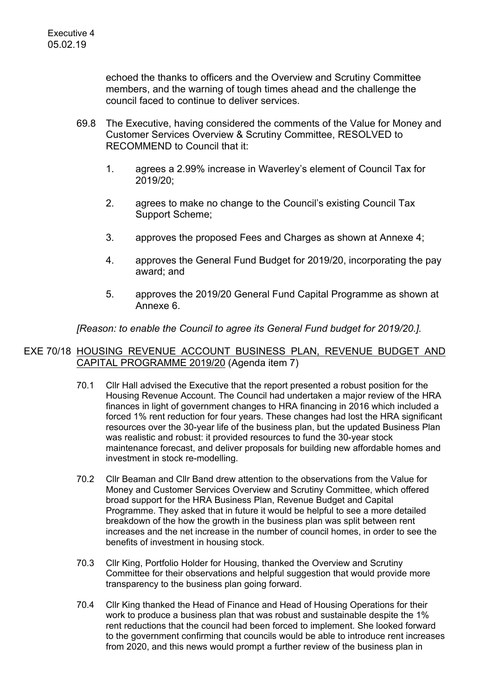echoed the thanks to officers and the Overview and Scrutiny Committee members, and the warning of tough times ahead and the challenge the council faced to continue to deliver services.

- 69.8 The Executive, having considered the comments of the Value for Money and Customer Services Overview & Scrutiny Committee, RESOLVED to RECOMMEND to Council that it:
	- 1. agrees a 2.99% increase in Waverley's element of Council Tax for 2019/20;
	- 2. agrees to make no change to the Council's existing Council Tax Support Scheme;
	- 3. approves the proposed Fees and Charges as shown at Annexe 4;
	- 4. approves the General Fund Budget for 2019/20, incorporating the pay award; and
	- 5. approves the 2019/20 General Fund Capital Programme as shown at Annexe 6.

### *[Reason: to enable the Council to agree its General Fund budget for 2019/20.].*

### EXE 70/18 HOUSING REVENUE ACCOUNT BUSINESS PLAN, REVENUE BUDGET AND CAPITAL PROGRAMME 2019/20 (Agenda item 7)

- 70.1 Cllr Hall advised the Executive that the report presented a robust position for the Housing Revenue Account. The Council had undertaken a major review of the HRA finances in light of government changes to HRA financing in 2016 which included a forced 1% rent reduction for four years. These changes had lost the HRA significant resources over the 30-year life of the business plan, but the updated Business Plan was realistic and robust: it provided resources to fund the 30-year stock maintenance forecast, and deliver proposals for building new affordable homes and investment in stock re-modelling.
- 70.2 Cllr Beaman and Cllr Band drew attention to the observations from the Value for Money and Customer Services Overview and Scrutiny Committee, which offered broad support for the HRA Business Plan, Revenue Budget and Capital Programme. They asked that in future it would be helpful to see a more detailed breakdown of the how the growth in the business plan was split between rent increases and the net increase in the number of council homes, in order to see the benefits of investment in housing stock.
- 70.3 Cllr King, Portfolio Holder for Housing, thanked the Overview and Scrutiny Committee for their observations and helpful suggestion that would provide more transparency to the business plan going forward.
- 70.4 Cllr King thanked the Head of Finance and Head of Housing Operations for their work to produce a business plan that was robust and sustainable despite the 1% rent reductions that the council had been forced to implement. She looked forward to the government confirming that councils would be able to introduce rent increases from 2020, and this news would prompt a further review of the business plan in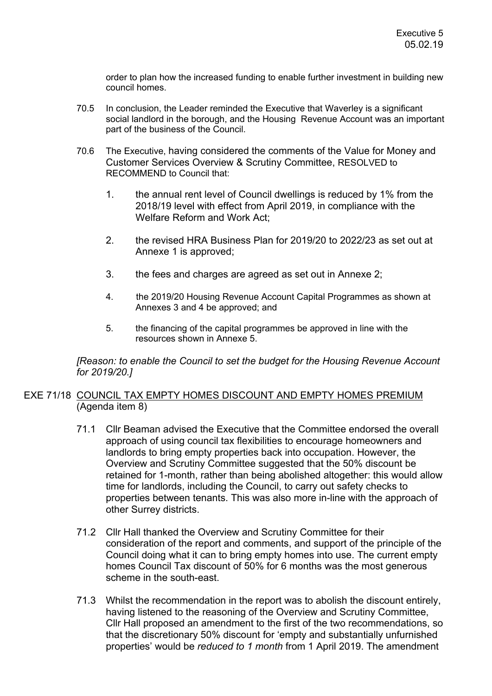order to plan how the increased funding to enable further investment in building new council homes.

- 70.5 In conclusion, the Leader reminded the Executive that Waverley is a significant social landlord in the borough, and the Housing Revenue Account was an important part of the business of the Council.
- 70.6 The Executive, having considered the comments of the Value for Money and Customer Services Overview & Scrutiny Committee, RESOLVED to RECOMMEND to Council that:
	- 1. the annual rent level of Council dwellings is reduced by 1% from the 2018/19 level with effect from April 2019, in compliance with the Welfare Reform and Work Act;
	- 2. the revised HRA Business Plan for 2019/20 to 2022/23 as set out at Annexe 1 is approved;
	- 3. the fees and charges are agreed as set out in Annexe 2;
	- 4. the 2019/20 Housing Revenue Account Capital Programmes as shown at Annexes 3 and 4 be approved; and
	- 5. the financing of the capital programmes be approved in line with the resources shown in Annexe 5.

*[Reason: to enable the Council to set the budget for the Housing Revenue Account for 2019/20.]*

# EXE 71/18 COUNCIL TAX EMPTY HOMES DISCOUNT AND EMPTY HOMES PREMIUM (Agenda item 8)

- 71.1 Cllr Beaman advised the Executive that the Committee endorsed the overall approach of using council tax flexibilities to encourage homeowners and landlords to bring empty properties back into occupation. However, the Overview and Scrutiny Committee suggested that the 50% discount be retained for 1-month, rather than being abolished altogether: this would allow time for landlords, including the Council, to carry out safety checks to properties between tenants. This was also more in-line with the approach of other Surrey districts.
- 71.2 Cllr Hall thanked the Overview and Scrutiny Committee for their consideration of the report and comments, and support of the principle of the Council doing what it can to bring empty homes into use. The current empty homes Council Tax discount of 50% for 6 months was the most generous scheme in the south-east.
- 71.3 Whilst the recommendation in the report was to abolish the discount entirely, having listened to the reasoning of the Overview and Scrutiny Committee, Cllr Hall proposed an amendment to the first of the two recommendations, so that the discretionary 50% discount for 'empty and substantially unfurnished properties' would be *reduced to 1 month* from 1 April 2019. The amendment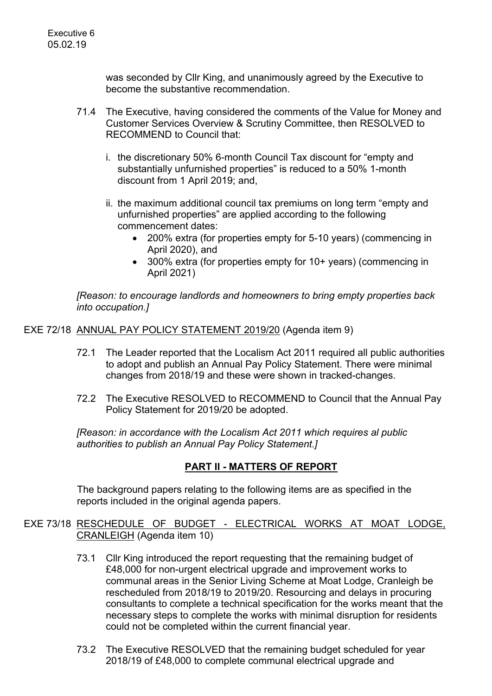was seconded by Cllr King, and unanimously agreed by the Executive to become the substantive recommendation.

- 71.4 The Executive, having considered the comments of the Value for Money and Customer Services Overview & Scrutiny Committee, then RESOLVED to RECOMMEND to Council that:
	- i. the discretionary 50% 6-month Council Tax discount for "empty and substantially unfurnished properties" is reduced to a 50% 1-month discount from 1 April 2019; and,
	- ii. the maximum additional council tax premiums on long term "empty and unfurnished properties" are applied according to the following commencement dates:
		- 200% extra (for properties empty for 5-10 years) (commencing in April 2020), and
		- 300% extra (for properties empty for 10+ years) (commencing in April 2021)

*[Reason: to encourage landlords and homeowners to bring empty properties back into occupation.]*

EXE 72/18 ANNUAL PAY POLICY STATEMENT 2019/20 (Agenda item 9)

- 72.1 The Leader reported that the Localism Act 2011 required all public authorities to adopt and publish an Annual Pay Policy Statement. There were minimal changes from 2018/19 and these were shown in tracked-changes.
- 72.2 The Executive RESOLVED to RECOMMEND to Council that the Annual Pay Policy Statement for 2019/20 be adopted.

*[Reason: in accordance with the Localism Act 2011 which requires al public authorities to publish an Annual Pay Policy Statement.]*

### **PART II - MATTERS OF REPORT**

The background papers relating to the following items are as specified in the reports included in the original agenda papers.

- EXE 73/18 RESCHEDULE OF BUDGET ELECTRICAL WORKS AT MOAT LODGE, CRANLEIGH (Agenda item 10)
	- 73.1 Cllr King introduced the report requesting that the remaining budget of £48,000 for non-urgent electrical upgrade and improvement works to communal areas in the Senior Living Scheme at Moat Lodge, Cranleigh be rescheduled from 2018/19 to 2019/20. Resourcing and delays in procuring consultants to complete a technical specification for the works meant that the necessary steps to complete the works with minimal disruption for residents could not be completed within the current financial year.
	- 73.2 The Executive RESOLVED that the remaining budget scheduled for year 2018/19 of £48,000 to complete communal electrical upgrade and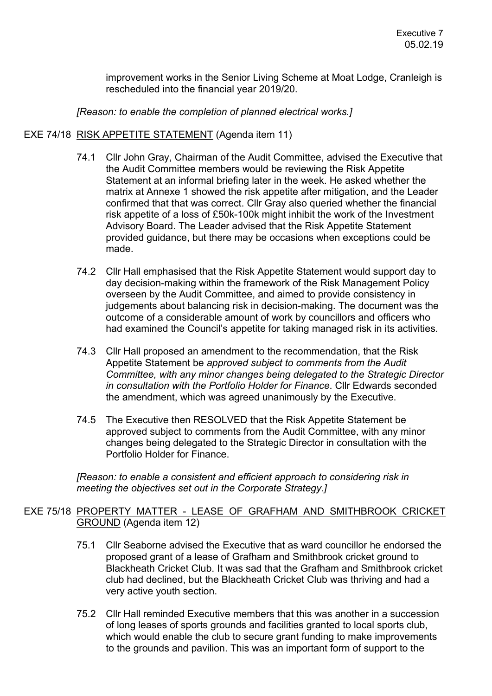improvement works in the Senior Living Scheme at Moat Lodge, Cranleigh is rescheduled into the financial year 2019/20.

*[Reason: to enable the completion of planned electrical works.]*

### EXE 74/18 RISK APPETITE STATEMENT (Agenda item 11)

- 74.1 Cllr John Gray, Chairman of the Audit Committee, advised the Executive that the Audit Committee members would be reviewing the Risk Appetite Statement at an informal briefing later in the week. He asked whether the matrix at Annexe 1 showed the risk appetite after mitigation, and the Leader confirmed that that was correct. Cllr Gray also queried whether the financial risk appetite of a loss of £50k-100k might inhibit the work of the Investment Advisory Board. The Leader advised that the Risk Appetite Statement provided guidance, but there may be occasions when exceptions could be made.
- 74.2 Cllr Hall emphasised that the Risk Appetite Statement would support day to day decision-making within the framework of the Risk Management Policy overseen by the Audit Committee, and aimed to provide consistency in judgements about balancing risk in decision-making. The document was the outcome of a considerable amount of work by councillors and officers who had examined the Council's appetite for taking managed risk in its activities.
- 74.3 Cllr Hall proposed an amendment to the recommendation, that the Risk Appetite Statement be *approved subject to comments from the Audit Committee, with any minor changes being delegated to the Strategic Director in consultation with the Portfolio Holder for Finance*. Cllr Edwards seconded the amendment, which was agreed unanimously by the Executive.
- 74.5 The Executive then RESOLVED that the Risk Appetite Statement be approved subject to comments from the Audit Committee, with any minor changes being delegated to the Strategic Director in consultation with the Portfolio Holder for Finance.

*[Reason: to enable a consistent and efficient approach to considering risk in meeting the objectives set out in the Corporate Strategy.]*

# EXE 75/18 PROPERTY MATTER - LEASE OF GRAFHAM AND SMITHBROOK CRICKET GROUND (Agenda item 12)

- 75.1 Cllr Seaborne advised the Executive that as ward councillor he endorsed the proposed grant of a lease of Grafham and Smithbrook cricket ground to Blackheath Cricket Club. It was sad that the Grafham and Smithbrook cricket club had declined, but the Blackheath Cricket Club was thriving and had a very active youth section.
- 75.2 Cllr Hall reminded Executive members that this was another in a succession of long leases of sports grounds and facilities granted to local sports club, which would enable the club to secure grant funding to make improvements to the grounds and pavilion. This was an important form of support to the